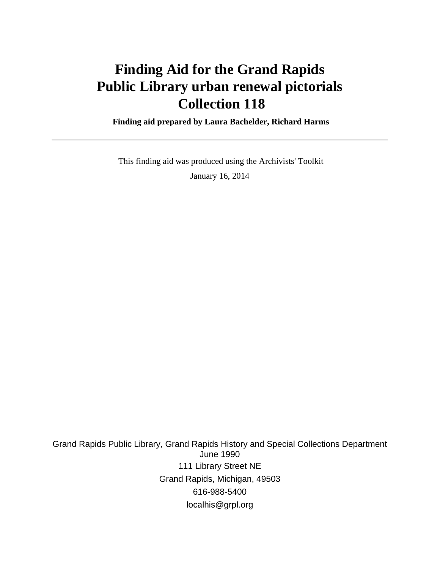# **Finding Aid for the Grand Rapids Public Library urban renewal pictorials Collection 118**

 **Finding aid prepared by Laura Bachelder, Richard Harms**

 This finding aid was produced using the Archivists' Toolkit January 16, 2014

Grand Rapids Public Library, Grand Rapids History and Special Collections Department June 1990 111 Library Street NE Grand Rapids, Michigan, 49503 616-988-5400 localhis@grpl.org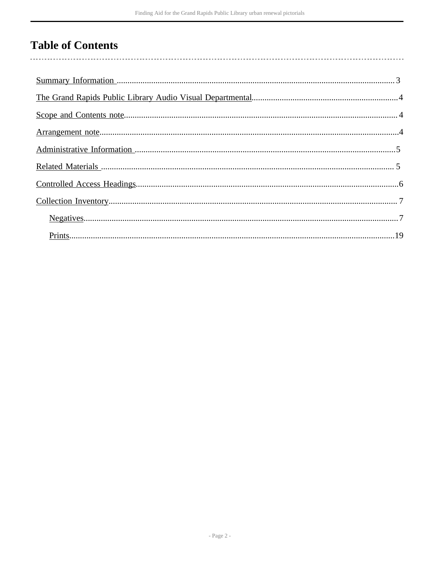## **Table of Contents**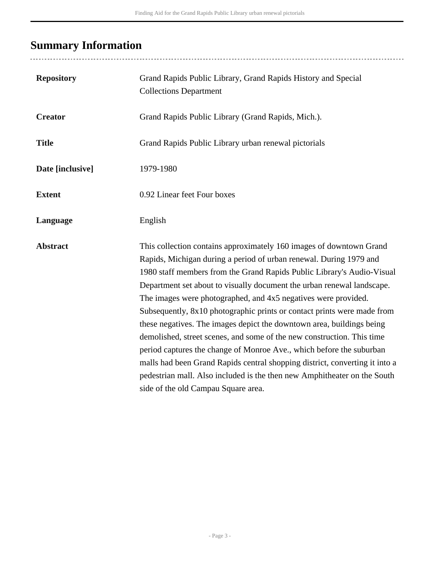# <span id="page-2-0"></span>**Summary Information**

| <b>Repository</b> | Grand Rapids Public Library, Grand Rapids History and Special<br><b>Collections Department</b>                                                                                                                                                                                                                                                                                                                                                                                                                                                                                                                                                                                                                                                                                                                                                                          |
|-------------------|-------------------------------------------------------------------------------------------------------------------------------------------------------------------------------------------------------------------------------------------------------------------------------------------------------------------------------------------------------------------------------------------------------------------------------------------------------------------------------------------------------------------------------------------------------------------------------------------------------------------------------------------------------------------------------------------------------------------------------------------------------------------------------------------------------------------------------------------------------------------------|
| <b>Creator</b>    | Grand Rapids Public Library (Grand Rapids, Mich.).                                                                                                                                                                                                                                                                                                                                                                                                                                                                                                                                                                                                                                                                                                                                                                                                                      |
| <b>Title</b>      | Grand Rapids Public Library urban renewal pictorials                                                                                                                                                                                                                                                                                                                                                                                                                                                                                                                                                                                                                                                                                                                                                                                                                    |
| Date [inclusive]  | 1979-1980                                                                                                                                                                                                                                                                                                                                                                                                                                                                                                                                                                                                                                                                                                                                                                                                                                                               |
| <b>Extent</b>     | 0.92 Linear feet Four boxes                                                                                                                                                                                                                                                                                                                                                                                                                                                                                                                                                                                                                                                                                                                                                                                                                                             |
| Language          | English                                                                                                                                                                                                                                                                                                                                                                                                                                                                                                                                                                                                                                                                                                                                                                                                                                                                 |
| <b>Abstract</b>   | This collection contains approximately 160 images of downtown Grand<br>Rapids, Michigan during a period of urban renewal. During 1979 and<br>1980 staff members from the Grand Rapids Public Library's Audio-Visual<br>Department set about to visually document the urban renewal landscape.<br>The images were photographed, and 4x5 negatives were provided.<br>Subsequently, 8x10 photographic prints or contact prints were made from<br>these negatives. The images depict the downtown area, buildings being<br>demolished, street scenes, and some of the new construction. This time<br>period captures the change of Monroe Ave., which before the suburban<br>malls had been Grand Rapids central shopping district, converting it into a<br>pedestrian mall. Also included is the then new Amphitheater on the South<br>side of the old Campau Square area. |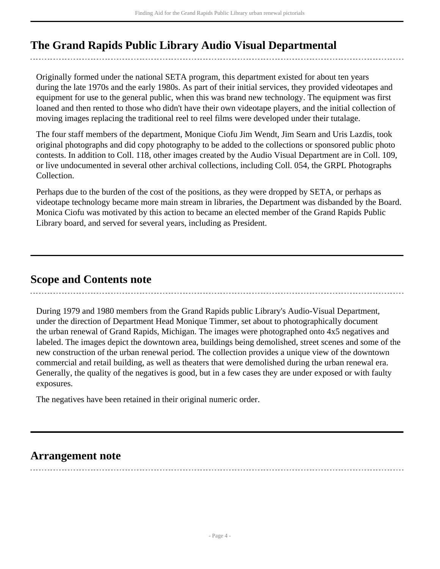## <span id="page-3-0"></span>**The Grand Rapids Public Library Audio Visual Departmental**

Originally formed under the national SETA program, this department existed for about ten years during the late 1970s and the early 1980s. As part of their initial services, they provided videotapes and equipment for use to the general public, when this was brand new technology. The equipment was first loaned and then rented to those who didn't have their own videotape players, and the initial collection of moving images replacing the traditional reel to reel films were developed under their tutalage.

The four staff members of the department, Monique Ciofu Jim Wendt, Jim Searn and Uris Lazdis, took original photographs and did copy photography to be added to the collections or sponsored public photo contests. In addition to Coll. 118, other images created by the Audio Visual Department are in Coll. 109, or live undocumented in several other archival collections, including Coll. 054, the GRPL Photographs Collection.

Perhaps due to the burden of the cost of the positions, as they were dropped by SETA, or perhaps as videotape technology became more main stream in libraries, the Department was disbanded by the Board. Monica Ciofu was motivated by this action to became an elected member of the Grand Rapids Public Library board, and served for several years, including as President.

### <span id="page-3-1"></span>**Scope and Contents note**

During 1979 and 1980 members from the Grand Rapids public Library's Audio-Visual Department, under the direction of Department Head Monique Timmer, set about to photographically document the urban renewal of Grand Rapids, Michigan. The images were photographed onto 4x5 negatives and labeled. The images depict the downtown area, buildings being demolished, street scenes and some of the new construction of the urban renewal period. The collection provides a unique view of the downtown commercial and retail building, as well as theaters that were demolished during the urban renewal era. Generally, the quality of the negatives is good, but in a few cases they are under exposed or with faulty exposures.

The negatives have been retained in their original numeric order.

### <span id="page-3-2"></span>**Arrangement note**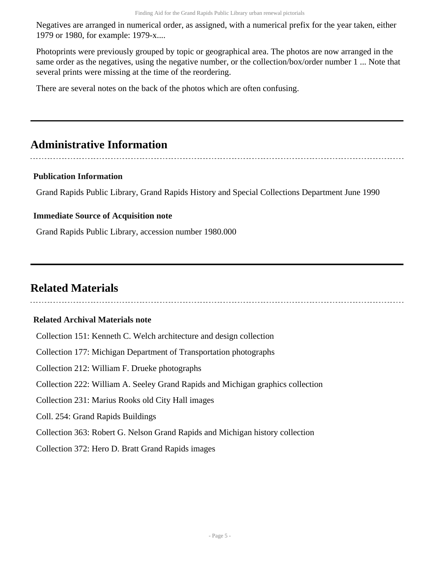Negatives are arranged in numerical order, as assigned, with a numerical prefix for the year taken, either 1979 or 1980, for example: 1979-x....

Photoprints were previously grouped by topic or geographical area. The photos are now arranged in the same order as the negatives, using the negative number, or the collection/box/order number 1 ... Note that several prints were missing at the time of the reordering.

There are several notes on the back of the photos which are often confusing.

### <span id="page-4-0"></span>**Administrative Information**

#### **Publication Information**

Grand Rapids Public Library, Grand Rapids History and Special Collections Department June 1990

#### **Immediate Source of Acquisition note**

Grand Rapids Public Library, accession number 1980.000

### <span id="page-4-1"></span>**Related Materials**

#### **Related Archival Materials note**

Collection 151: Kenneth C. Welch architecture and design collection Collection 177: Michigan Department of Transportation photographs Collection 212: William F. Drueke photographs Collection 222: William A. Seeley Grand Rapids and Michigan graphics collection Collection 231: Marius Rooks old City Hall images Coll. 254: Grand Rapids Buildings Collection 363: Robert G. Nelson Grand Rapids and Michigan history collection

Collection 372: Hero D. Bratt Grand Rapids images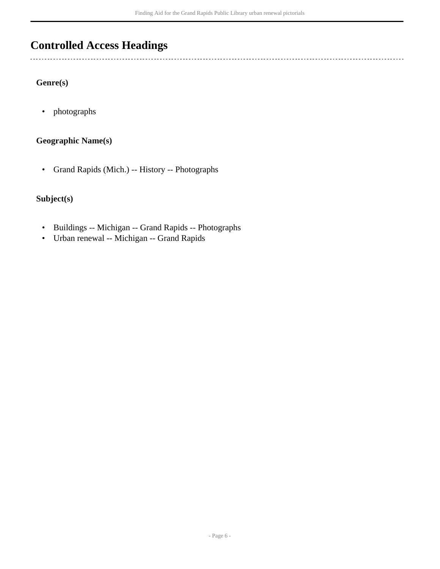## <span id="page-5-0"></span>**Controlled Access Headings**

### **Genre(s)**

 $\ddotsc$ 

• photographs

### **Geographic Name(s)**

• Grand Rapids (Mich.) -- History -- Photographs

### **Subject(s)**

- Buildings -- Michigan -- Grand Rapids -- Photographs
- Urban renewal -- Michigan -- Grand Rapids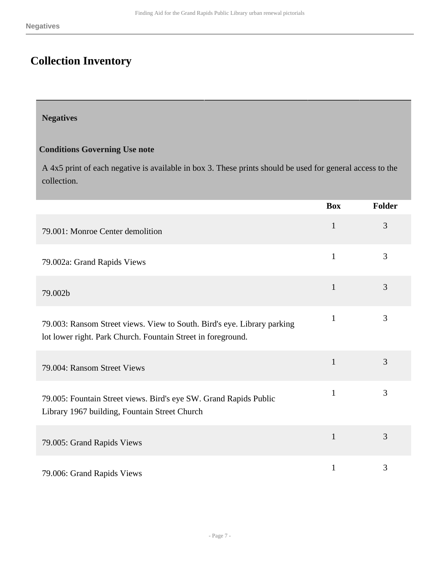# <span id="page-6-0"></span>**Collection Inventory**

### <span id="page-6-1"></span>**Negatives**

### **Conditions Governing Use note**

A 4x5 print of each negative is available in box 3. These prints should be used for general access to the collection.

|                                                                                                                                         | <b>Box</b>   | Folder |
|-----------------------------------------------------------------------------------------------------------------------------------------|--------------|--------|
| 79.001: Monroe Center demolition                                                                                                        | $\mathbf{1}$ | 3      |
| 79.002a: Grand Rapids Views                                                                                                             | $\mathbf{1}$ | 3      |
| 79.002b                                                                                                                                 | $\mathbf{1}$ | 3      |
| 79.003: Ransom Street views. View to South. Bird's eye. Library parking<br>lot lower right. Park Church. Fountain Street in foreground. | $\mathbf{1}$ | 3      |
| 79.004: Ransom Street Views                                                                                                             | $\mathbf{1}$ | 3      |
| 79.005: Fountain Street views. Bird's eye SW. Grand Rapids Public<br>Library 1967 building, Fountain Street Church                      | $\mathbf{1}$ | 3      |
| 79.005: Grand Rapids Views                                                                                                              | $\mathbf{1}$ | 3      |
| 79.006: Grand Rapids Views                                                                                                              | $\mathbf{1}$ | 3      |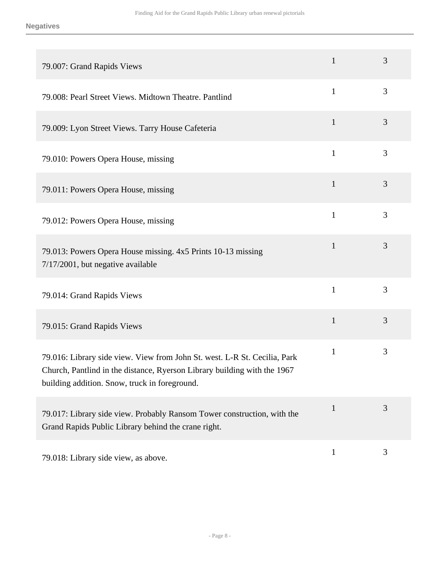| 79.007: Grand Rapids Views                                                                                                                                                                             | $\mathbf{1}$ | 3 |
|--------------------------------------------------------------------------------------------------------------------------------------------------------------------------------------------------------|--------------|---|
| 79.008: Pearl Street Views. Midtown Theatre. Pantlind                                                                                                                                                  | $\mathbf{1}$ | 3 |
| 79.009: Lyon Street Views. Tarry House Cafeteria                                                                                                                                                       | $\mathbf{1}$ | 3 |
| 79.010: Powers Opera House, missing                                                                                                                                                                    | $\mathbf{1}$ | 3 |
| 79.011: Powers Opera House, missing                                                                                                                                                                    | $\mathbf{1}$ | 3 |
| 79.012: Powers Opera House, missing                                                                                                                                                                    | $\mathbf{1}$ | 3 |
| 79.013: Powers Opera House missing. 4x5 Prints 10-13 missing<br>7/17/2001, but negative available                                                                                                      | $\mathbf{1}$ | 3 |
| 79.014: Grand Rapids Views                                                                                                                                                                             | $\mathbf{1}$ | 3 |
| 79.015: Grand Rapids Views                                                                                                                                                                             | $\mathbf{1}$ | 3 |
| 79.016: Library side view. View from John St. west. L-R St. Cecilia, Park<br>Church, Pantlind in the distance, Ryerson Library building with the 1967<br>building addition. Snow, truck in foreground. | $\mathbf{1}$ | 3 |
| 79.017: Library side view. Probably Ransom Tower construction, with the<br>Grand Rapids Public Library behind the crane right.                                                                         | $\mathbf{1}$ | 3 |
| 79.018: Library side view, as above.                                                                                                                                                                   | $\mathbf{1}$ | 3 |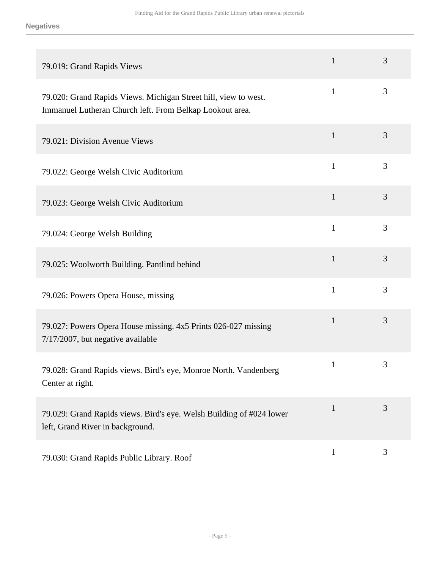| 79.019: Grand Rapids Views                                                                                                  | $\mathbf{1}$ | 3              |
|-----------------------------------------------------------------------------------------------------------------------------|--------------|----------------|
| 79.020: Grand Rapids Views. Michigan Street hill, view to west.<br>Immanuel Lutheran Church left. From Belkap Lookout area. | $\mathbf{1}$ | 3              |
| 79.021: Division Avenue Views                                                                                               | $\mathbf{1}$ | 3              |
| 79.022: George Welsh Civic Auditorium                                                                                       | $\mathbf{1}$ | 3              |
| 79.023: George Welsh Civic Auditorium                                                                                       | $\mathbf{1}$ | 3              |
| 79.024: George Welsh Building                                                                                               | $\mathbf{1}$ | 3              |
| 79.025: Woolworth Building. Pantlind behind                                                                                 | $\mathbf{1}$ | 3              |
| 79.026: Powers Opera House, missing                                                                                         | $\mathbf{1}$ | 3              |
| 79.027: Powers Opera House missing. 4x5 Prints 026-027 missing<br>7/17/2007, but negative available                         | $\mathbf{1}$ | 3              |
| 79.028: Grand Rapids views. Bird's eye, Monroe North. Vandenberg<br>Center at right.                                        | 1            | 3              |
| 79.029: Grand Rapids views. Bird's eye. Welsh Building of #024 lower<br>left, Grand River in background.                    | $\mathbf{1}$ | 3              |
| 79.030: Grand Rapids Public Library. Roof                                                                                   | $\mathbf{1}$ | $\mathfrak{Z}$ |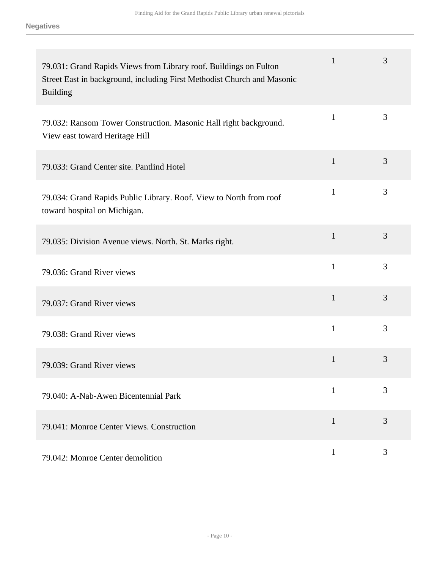| 79.031: Grand Rapids Views from Library roof. Buildings on Fulton<br>Street East in background, including First Methodist Church and Masonic<br><b>Building</b> | $\mathbf{1}$ | 3 |
|-----------------------------------------------------------------------------------------------------------------------------------------------------------------|--------------|---|
| 79.032: Ransom Tower Construction. Masonic Hall right background.<br>View east toward Heritage Hill                                                             | $\mathbf{1}$ | 3 |
| 79.033: Grand Center site. Pantlind Hotel                                                                                                                       | $\mathbf{1}$ | 3 |
| 79.034: Grand Rapids Public Library. Roof. View to North from roof<br>toward hospital on Michigan.                                                              | $\mathbf{1}$ | 3 |
| 79.035: Division Avenue views. North. St. Marks right.                                                                                                          | $\mathbf{1}$ | 3 |
| 79.036: Grand River views                                                                                                                                       | $\mathbf{1}$ | 3 |
| 79.037: Grand River views                                                                                                                                       | $\mathbf{1}$ | 3 |
| 79.038: Grand River views                                                                                                                                       | $\mathbf{1}$ | 3 |
| 79.039: Grand River views                                                                                                                                       | 1            | 3 |
| 79.040: A-Nab-Awen Bicentennial Park                                                                                                                            | $\mathbf{1}$ | 3 |
| 79.041: Monroe Center Views. Construction                                                                                                                       | $\mathbf{1}$ | 3 |
| 79.042: Monroe Center demolition                                                                                                                                | $\mathbf{1}$ | 3 |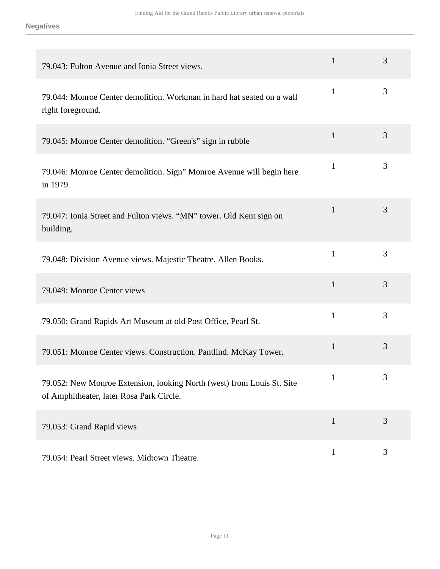| 79.043: Fulton Avenue and Ionia Street views.                                                                      | $\mathbf{1}$ | 3 |
|--------------------------------------------------------------------------------------------------------------------|--------------|---|
| 79.044: Monroe Center demolition. Workman in hard hat seated on a wall<br>right foreground.                        | 1            | 3 |
| 79.045: Monroe Center demolition. "Green's" sign in rubble                                                         | $\mathbf{1}$ | 3 |
| 79.046: Monroe Center demolition. Sign" Monroe Avenue will begin here<br>in 1979.                                  | $\mathbf{1}$ | 3 |
| 79.047: Ionia Street and Fulton views. "MN" tower. Old Kent sign on<br>building.                                   | $\mathbf{1}$ | 3 |
| 79.048: Division Avenue views. Majestic Theatre. Allen Books.                                                      | $\mathbf{1}$ | 3 |
| 79.049: Monroe Center views                                                                                        | $\mathbf{1}$ | 3 |
| 79.050: Grand Rapids Art Museum at old Post Office, Pearl St.                                                      | $\mathbf{1}$ | 3 |
| 79.051: Monroe Center views. Construction. Pantlind. McKay Tower.                                                  | $\mathbf{1}$ | 3 |
| 79.052: New Monroe Extension, looking North (west) from Louis St. Site<br>of Amphitheater, later Rosa Park Circle. | $\mathbf{1}$ | 3 |
| 79.053: Grand Rapid views                                                                                          | $\mathbf{1}$ | 3 |
| 79.054: Pearl Street views. Midtown Theatre.                                                                       | $\mathbf{1}$ | 3 |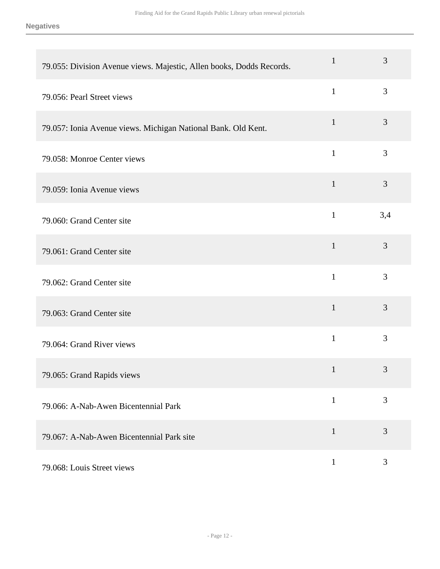| 79.055: Division Avenue views. Majestic, Allen books, Dodds Records. | $\mathbf{1}$ | 3   |
|----------------------------------------------------------------------|--------------|-----|
| 79.056: Pearl Street views                                           | $\mathbf{1}$ | 3   |
| 79.057: Ionia Avenue views. Michigan National Bank. Old Kent.        | $\mathbf{1}$ | 3   |
| 79.058: Monroe Center views                                          | $\mathbf{1}$ | 3   |
| 79.059: Ionia Avenue views                                           | $\mathbf{1}$ | 3   |
| 79.060: Grand Center site                                            | $\mathbf{1}$ | 3,4 |
| 79.061: Grand Center site                                            | $\mathbf{1}$ | 3   |
| 79.062: Grand Center site                                            | $\mathbf{1}$ | 3   |
| 79.063: Grand Center site                                            | $\mathbf{1}$ | 3   |
| 79.064: Grand River views                                            | $\mathbf{1}$ | 3   |
| 79.065: Grand Rapids views                                           | $\mathbf{1}$ | 3   |
| 79.066: A-Nab-Awen Bicentennial Park                                 | $\mathbf{1}$ | 3   |
| 79.067: A-Nab-Awen Bicentennial Park site                            | $\mathbf{1}$ | 3   |
| 79.068: Louis Street views                                           | $\mathbf{1}$ | 3   |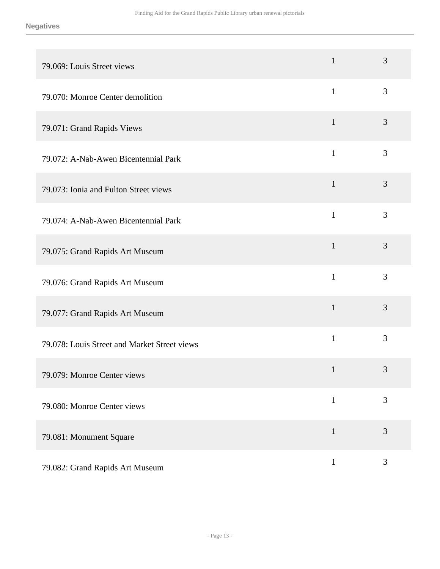| 79.069: Louis Street views                   | $\mathbf{1}$ | 3 |
|----------------------------------------------|--------------|---|
| 79.070: Monroe Center demolition             | $\mathbf{1}$ | 3 |
| 79.071: Grand Rapids Views                   | $\mathbf{1}$ | 3 |
| 79.072: A-Nab-Awen Bicentennial Park         | $\mathbf{1}$ | 3 |
| 79.073: Ionia and Fulton Street views        | $\mathbf{1}$ | 3 |
| 79.074: A-Nab-Awen Bicentennial Park         | $\mathbf{1}$ | 3 |
| 79.075: Grand Rapids Art Museum              | $\mathbf{1}$ | 3 |
| 79.076: Grand Rapids Art Museum              | $\mathbf{1}$ | 3 |
| 79.077: Grand Rapids Art Museum              | $\mathbf{1}$ | 3 |
| 79.078: Louis Street and Market Street views | $\mathbf{1}$ | 3 |
| 79.079: Monroe Center views                  | $\mathbf{1}$ | 3 |
| 79.080: Monroe Center views                  | $\mathbf{1}$ | 3 |
| 79.081: Monument Square                      | $\mathbf{1}$ | 3 |
| 79.082: Grand Rapids Art Museum              | $\mathbf{1}$ | 3 |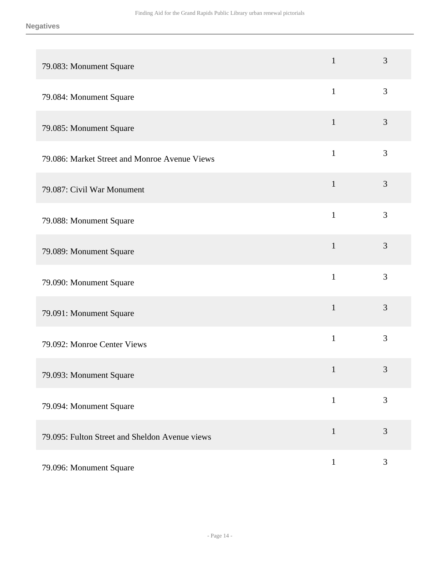| 79.083: Monument Square                        | $\mathbf{1}$ | 3              |
|------------------------------------------------|--------------|----------------|
| 79.084: Monument Square                        | $\mathbf{1}$ | $\mathfrak{Z}$ |
| 79.085: Monument Square                        | $\mathbf{1}$ | $\mathfrak{Z}$ |
| 79.086: Market Street and Monroe Avenue Views  | $\mathbf{1}$ | 3              |
| 79.087: Civil War Monument                     | $\mathbf{1}$ | 3              |
| 79.088: Monument Square                        | $\mathbf{1}$ | 3              |
| 79.089: Monument Square                        | $\mathbf{1}$ | 3              |
| 79.090: Monument Square                        | $\mathbf{1}$ | 3              |
| 79.091: Monument Square                        | $\mathbf{1}$ | 3              |
| 79.092: Monroe Center Views                    | $\mathbf{1}$ | 3              |
| 79.093: Monument Square                        | $\mathbf{1}$ | 3              |
| 79.094: Monument Square                        | $\mathbf{1}$ | 3              |
| 79.095: Fulton Street and Sheldon Avenue views | $\mathbf{1}$ | 3              |
| 79.096: Monument Square                        | $\mathbf{1}$ | $\mathfrak{Z}$ |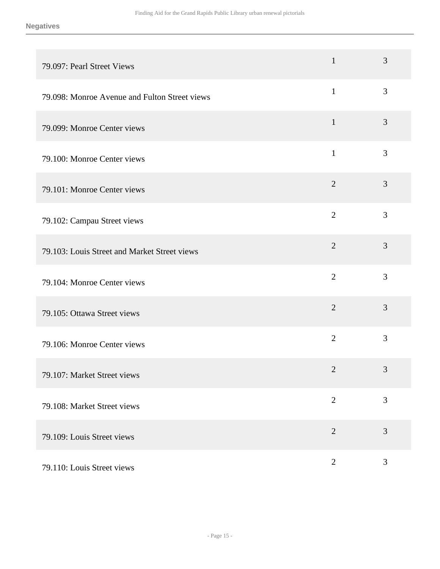| 79.097: Pearl Street Views                    | $\mathbf{1}$   | 3              |
|-----------------------------------------------|----------------|----------------|
| 79.098: Monroe Avenue and Fulton Street views | $\mathbf{1}$   | 3              |
| 79.099: Monroe Center views                   | $\mathbf{1}$   | 3              |
| 79.100: Monroe Center views                   | $\mathbf{1}$   | 3              |
| 79.101: Monroe Center views                   | $\overline{2}$ | 3              |
| 79.102: Campau Street views                   | $\overline{2}$ | 3              |
| 79.103: Louis Street and Market Street views  | $\overline{2}$ | 3              |
| 79.104: Monroe Center views                   | $\overline{2}$ | 3              |
| 79.105: Ottawa Street views                   | $\overline{2}$ | 3              |
| 79.106: Monroe Center views                   | $\overline{2}$ | 3              |
| 79.107: Market Street views                   | $\mathbf{2}$   | 3              |
| 79.108: Market Street views                   | $\overline{2}$ | 3              |
| 79.109: Louis Street views                    | $\overline{2}$ | 3              |
| 79.110: Louis Street views                    | $\mathbf{2}$   | $\mathfrak{Z}$ |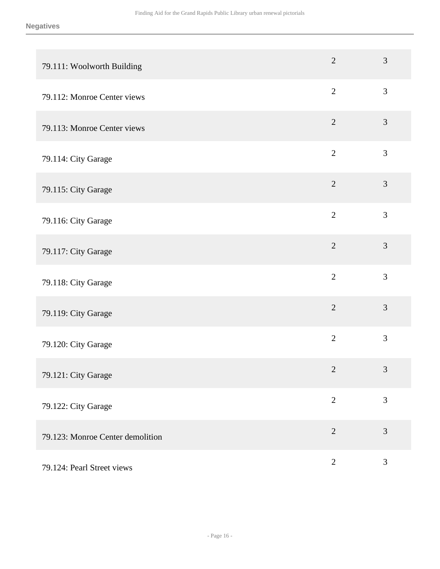| 79.111: Woolworth Building       | $\overline{2}$ | 3              |
|----------------------------------|----------------|----------------|
| 79.112: Monroe Center views      | $\overline{2}$ | 3              |
| 79.113: Monroe Center views      | $\overline{2}$ | $\mathfrak{Z}$ |
| 79.114: City Garage              | $\overline{2}$ | $\mathfrak{Z}$ |
| 79.115: City Garage              | $\overline{2}$ | $\mathfrak{Z}$ |
| 79.116: City Garage              | $\overline{2}$ | 3              |
| 79.117: City Garage              | $\overline{2}$ | $\mathfrak{Z}$ |
| 79.118: City Garage              | $\overline{2}$ | 3              |
| 79.119: City Garage              | $\overline{2}$ | 3              |
| 79.120: City Garage              | $\overline{2}$ | $\mathfrak{Z}$ |
| 79.121: City Garage              | $\overline{2}$ | 3              |
| 79.122: City Garage              | $\overline{2}$ | 3              |
| 79.123: Monroe Center demolition | $\overline{2}$ | 3              |
| 79.124: Pearl Street views       | $\overline{2}$ | 3              |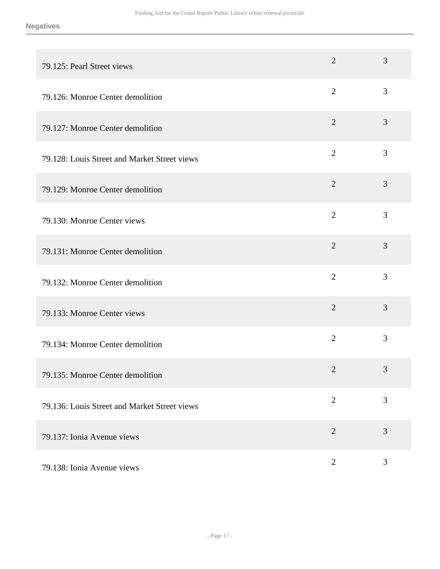| 79.125: Pearl Street views                   | $\overline{2}$ | 3 |
|----------------------------------------------|----------------|---|
| 79.126: Monroe Center demolition             | $\overline{2}$ | 3 |
| 79.127: Monroe Center demolition             | $\overline{2}$ | 3 |
| 79.128: Louis Street and Market Street views | $\overline{2}$ | 3 |
| 79.129: Monroe Center demolition             | $\overline{2}$ | 3 |
| 79.130: Monroe Center views                  | $\overline{2}$ | 3 |
| 79.131: Monroe Center demolition             | $\overline{2}$ | 3 |
| 79.132: Monroe Center demolition             | $\overline{2}$ | 3 |
| 79.133: Monroe Center views                  | $\overline{2}$ | 3 |
| 79.134: Monroe Center demolition             | $\overline{2}$ | 3 |
| 79.135: Monroe Center demolition             | $\mathbf{2}$   | 3 |
| 79.136: Louis Street and Market Street views | $\overline{2}$ | 3 |
| 79.137: Ionia Avenue views                   | $\overline{2}$ | 3 |
| 79.138: Ionia Avenue views                   | $\mathbf{2}$   | 3 |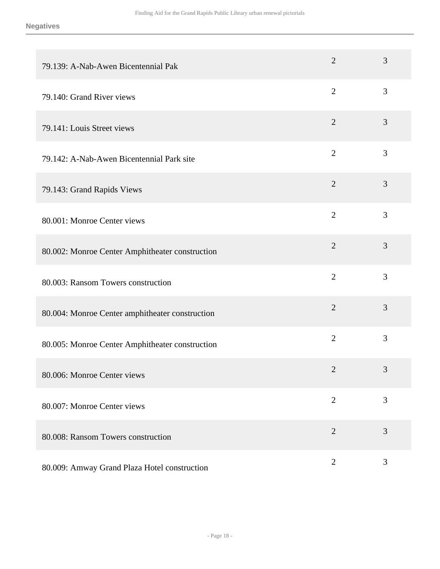| 79.139: A-Nab-Awen Bicentennial Pak             | $\overline{2}$ | 3              |
|-------------------------------------------------|----------------|----------------|
| 79.140: Grand River views                       | $\overline{2}$ | 3              |
| 79.141: Louis Street views                      | $\overline{2}$ | 3              |
| 79.142: A-Nab-Awen Bicentennial Park site       | $\overline{2}$ | 3              |
| 79.143: Grand Rapids Views                      | $\overline{2}$ | 3              |
| 80.001: Monroe Center views                     | $\overline{2}$ | 3              |
| 80.002: Monroe Center Amphitheater construction | $\overline{2}$ | 3              |
| 80.003: Ransom Towers construction              | $\overline{2}$ | 3              |
| 80.004: Monroe Center amphitheater construction | $\overline{2}$ | 3              |
| 80.005: Monroe Center Amphitheater construction | $\overline{2}$ | 3              |
| 80.006: Monroe Center views                     | $\overline{2}$ | 3              |
| 80.007: Monroe Center views                     | $\overline{2}$ | 3              |
| 80.008: Ransom Towers construction              | $\overline{2}$ | 3              |
| 80.009: Amway Grand Plaza Hotel construction    | $\overline{2}$ | $\mathfrak{Z}$ |